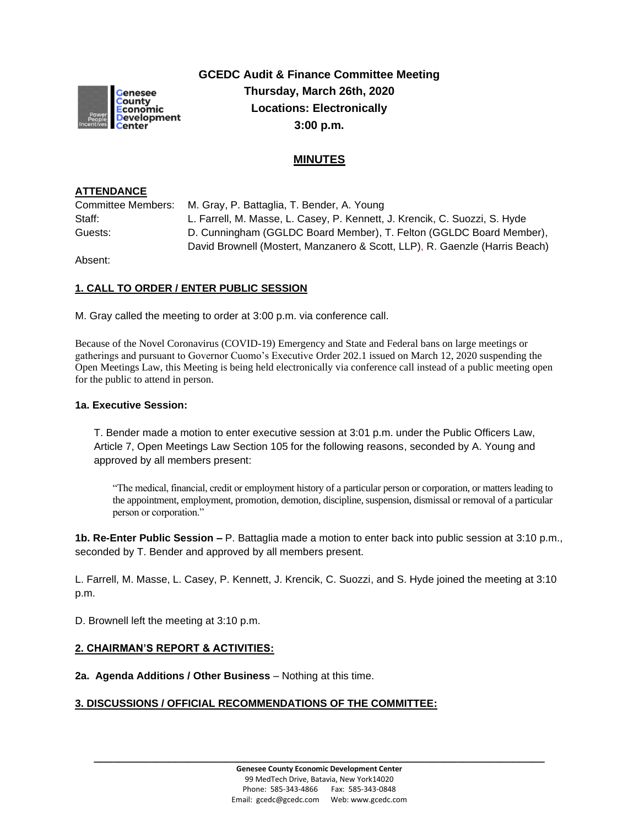

**GCEDC Audit & Finance Committee Meeting Thursday, March 26th, 2020 Locations: Electronically 3:00 p.m.**

## **MINUTES**

## **ATTENDANCE**

Committee Members: M. Gray, P. Battaglia, T. Bender, A. Young Staff: L. Farrell, M. Masse, L. Casey, P. Kennett, J. Krencik, C. Suozzi, S. Hyde Guests: D. Cunningham (GGLDC Board Member), T. Felton (GGLDC Board Member), David Brownell (Mostert, Manzanero & Scott, LLP), R. Gaenzle (Harris Beach)

Absent:

## **1. CALL TO ORDER / ENTER PUBLIC SESSION**

M. Gray called the meeting to order at 3:00 p.m. via conference call.

Because of the Novel Coronavirus (COVID-19) Emergency and State and Federal bans on large meetings or gatherings and pursuant to Governor Cuomo's Executive Order 202.1 issued on March 12, 2020 suspending the Open Meetings Law, this Meeting is being held electronically via conference call instead of a public meeting open for the public to attend in person.

#### **1a. Executive Session:**

T. Bender made a motion to enter executive session at 3:01 p.m. under the Public Officers Law, Article 7, Open Meetings Law Section 105 for the following reasons, seconded by A. Young and approved by all members present:

"The medical, financial, credit or employment history of a particular person or corporation, or matters leading to the appointment, employment, promotion, demotion, discipline, suspension, dismissal or removal of a particular person or corporation."

**1b. Re-Enter Public Session –** P. Battaglia made a motion to enter back into public session at 3:10 p.m., seconded by T. Bender and approved by all members present.

L. Farrell, M. Masse, L. Casey, P. Kennett, J. Krencik, C. Suozzi, and S. Hyde joined the meeting at 3:10 p.m.

D. Brownell left the meeting at 3:10 p.m.

## **2. CHAIRMAN'S REPORT & ACTIVITIES:**

**2a. Agenda Additions / Other Business** – Nothing at this time.

## **3. DISCUSSIONS / OFFICIAL RECOMMENDATIONS OF THE COMMITTEE:**

**\_\_\_\_\_\_\_\_\_\_\_\_\_\_\_\_\_\_\_\_\_\_\_\_\_\_\_\_\_\_\_\_\_\_\_\_\_\_\_\_\_\_\_\_\_\_\_\_\_\_\_\_\_\_\_\_\_\_\_\_\_\_\_\_\_\_\_\_\_\_\_\_**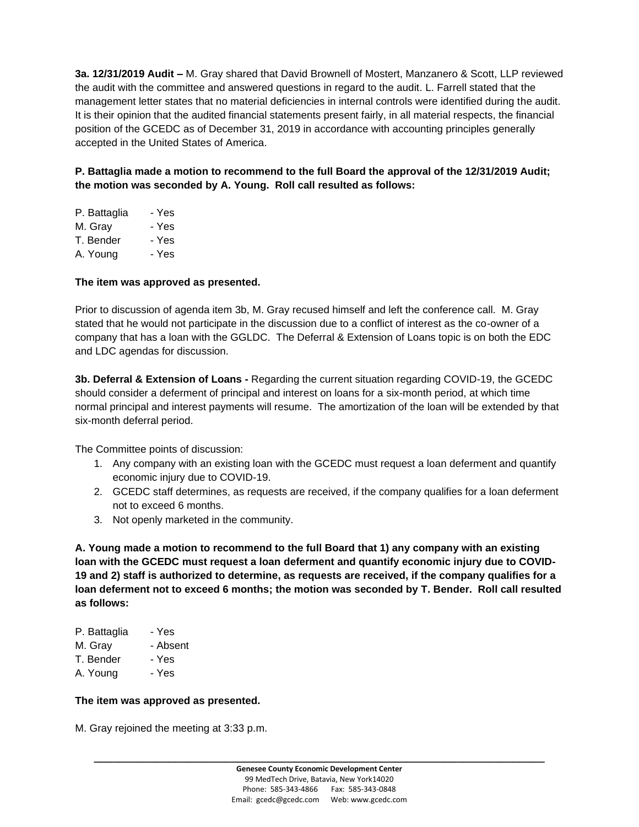**3a. 12/31/2019 Audit –** M. Gray shared that David Brownell of Mostert, Manzanero & Scott, LLP reviewed the audit with the committee and answered questions in regard to the audit. L. Farrell stated that the management letter states that no material deficiencies in internal controls were identified during the audit. It is their opinion that the audited financial statements present fairly, in all material respects, the financial position of the GCEDC as of December 31, 2019 in accordance with accounting principles generally accepted in the United States of America.

**P. Battaglia made a motion to recommend to the full Board the approval of the 12/31/2019 Audit; the motion was seconded by A. Young. Roll call resulted as follows:**

| P. Battaglia | - Yes |
|--------------|-------|
| M. Grav      | - Yes |
| T. Bender    | - Yes |
| A. Young     | - Yes |

## **The item was approved as presented.**

Prior to discussion of agenda item 3b, M. Gray recused himself and left the conference call. M. Gray stated that he would not participate in the discussion due to a conflict of interest as the co-owner of a company that has a loan with the GGLDC. The Deferral & Extension of Loans topic is on both the EDC and LDC agendas for discussion.

**3b. Deferral & Extension of Loans -** Regarding the current situation regarding COVID-19, the GCEDC should consider a deferment of principal and interest on loans for a six-month period, at which time normal principal and interest payments will resume. The amortization of the loan will be extended by that six-month deferral period.

The Committee points of discussion:

- 1. Any company with an existing loan with the GCEDC must request a loan deferment and quantify economic injury due to COVID-19.
- 2. GCEDC staff determines, as requests are received, if the company qualifies for a loan deferment not to exceed 6 months.
- 3. Not openly marketed in the community.

**A. Young made a motion to recommend to the full Board that 1) any company with an existing loan with the GCEDC must request a loan deferment and quantify economic injury due to COVID-19 and 2) staff is authorized to determine, as requests are received, if the company qualifies for a loan deferment not to exceed 6 months; the motion was seconded by T. Bender. Roll call resulted as follows:**

| P. Battaglia | - Yes    |
|--------------|----------|
| M. Gray      | - Absent |
| T. Bender    | - Yes    |

A. Young - Yes

#### **The item was approved as presented.**

M. Gray rejoined the meeting at 3:33 p.m.

**\_\_\_\_\_\_\_\_\_\_\_\_\_\_\_\_\_\_\_\_\_\_\_\_\_\_\_\_\_\_\_\_\_\_\_\_\_\_\_\_\_\_\_\_\_\_\_\_\_\_\_\_\_\_\_\_\_\_\_\_\_\_\_\_\_\_\_\_\_\_\_\_**